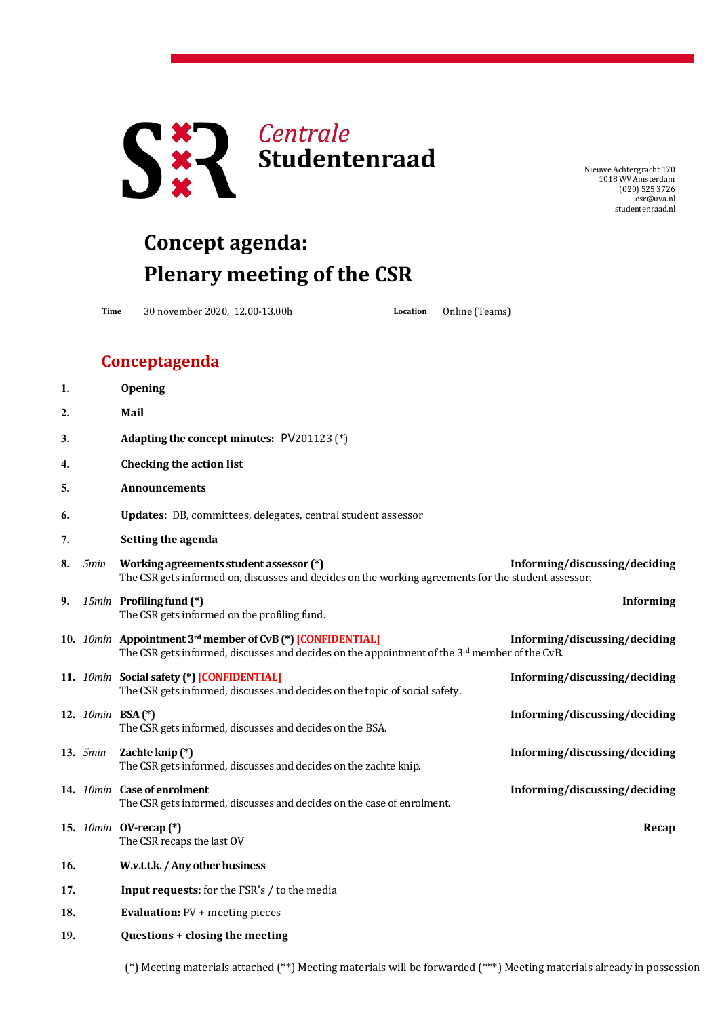

NieuweAchtergracht 170 1018 WV Amsterdam (020) 525 3726 [csr@uva.nl](mailto:csr@uva.nl) studentenraad.nl

## **Concept agenda: Plenary meeting of the CSR**

**Time** 30 november 2020, 12.00-13.00h **Location** Online (Teams)

## **Conceptagenda**

|      | Opening                                                                                                                                        |                                                                                                                                                                                                                    |
|------|------------------------------------------------------------------------------------------------------------------------------------------------|--------------------------------------------------------------------------------------------------------------------------------------------------------------------------------------------------------------------|
|      | Mail                                                                                                                                           |                                                                                                                                                                                                                    |
|      | Adapting the concept minutes: PV201123 (*)                                                                                                     |                                                                                                                                                                                                                    |
|      | <b>Checking the action list</b>                                                                                                                |                                                                                                                                                                                                                    |
|      | <b>Announcements</b>                                                                                                                           |                                                                                                                                                                                                                    |
|      | Updates: DB, committees, delegates, central student assessor                                                                                   |                                                                                                                                                                                                                    |
|      | Setting the agenda                                                                                                                             |                                                                                                                                                                                                                    |
| 5min | Working agreements student assessor (*)<br>The CSR gets informed on, discusses and decides on the working agreements for the student assessor. | Informing/discussing/deciding                                                                                                                                                                                      |
|      | The CSR gets informed on the profiling fund.                                                                                                   | <b>Informing</b>                                                                                                                                                                                                   |
|      | The CSR gets informed, discusses and decides on the appointment of the 3rd member of the CvB.                                                  | Informing/discussing/deciding                                                                                                                                                                                      |
|      | The CSR gets informed, discusses and decides on the topic of social safety.                                                                    | Informing/discussing/deciding                                                                                                                                                                                      |
|      | The CSR gets informed, discusses and decides on the BSA.                                                                                       | Informing/discussing/deciding                                                                                                                                                                                      |
|      | Zachte knip (*)<br>The CSR gets informed, discusses and decides on the zachte knip.                                                            | Informing/discussing/deciding                                                                                                                                                                                      |
|      | The CSR gets informed, discusses and decides on the case of enrolment.                                                                         | Informing/discussing/deciding                                                                                                                                                                                      |
|      | The CSR recaps the last OV                                                                                                                     | Recap                                                                                                                                                                                                              |
|      | W.v.t.t.k. / Any other business                                                                                                                |                                                                                                                                                                                                                    |
|      | Input requests: for the FSR's / to the media                                                                                                   |                                                                                                                                                                                                                    |
|      | <b>Evaluation: PV + meeting pieces</b>                                                                                                         |                                                                                                                                                                                                                    |
|      | Questions + closing the meeting                                                                                                                |                                                                                                                                                                                                                    |
|      | <b>13.</b> 5min                                                                                                                                | 15min Profiling fund (*)<br>10. 10min Appointment 3rd member of CvB (*) [CONFIDENTIAL]<br>11. 10min Social safety (*) [CONFIDENTIAL]<br>12. 10min BSA (*)<br>14. 10min Case of enrolment<br>15. 10min OV-recap (*) |

(\*) Meeting materials attached (\*\*) Meeting materials will be forwarded (\*\*\*) Meeting materials already in possession